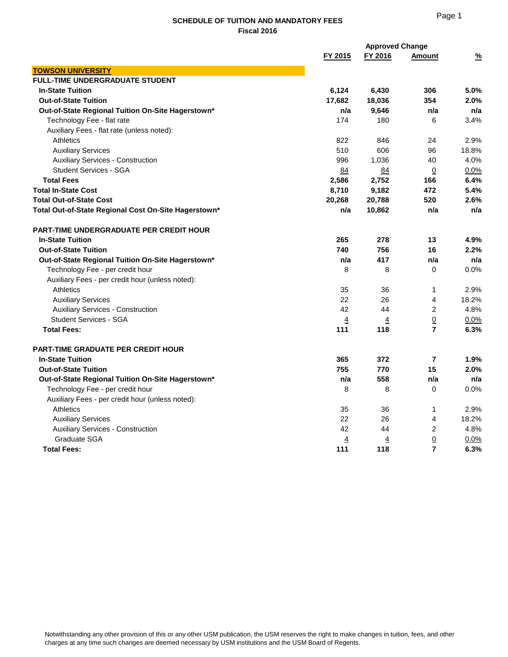## **SCHEDULE OF TUITION AND MANDATORY FEES Fiscal 2016**

|                                                      |                | <b>Approved Change</b> |                |               |
|------------------------------------------------------|----------------|------------------------|----------------|---------------|
|                                                      | FY 2015        | FY 2016                | <b>Amount</b>  | $\frac{9}{6}$ |
| <b>TOWSON UNIVERSITY</b>                             |                |                        |                |               |
| <b>FULL-TIME UNDERGRADUATE STUDENT</b>               |                |                        |                |               |
| <b>In-State Tuition</b>                              | 6,124          | 6,430                  | 306            | 5.0%          |
| <b>Out-of-State Tuition</b>                          | 17,682         | 18,036                 | 354            | 2.0%          |
| Out-of-State Regional Tuition On-Site Hagerstown*    | n/a            | 9,646                  | n/a            | n/a           |
| Technology Fee - flat rate                           | 174            | 180                    | 6              | 3.4%          |
| Auxiliary Fees - flat rate (unless noted):           |                |                        |                |               |
| <b>Athletics</b>                                     | 822            | 846                    | 24             | 2.9%          |
| <b>Auxiliary Services</b>                            | 510            | 606                    | 96             | 18.8%         |
| <b>Auxiliary Services - Construction</b>             | 996            | 1,036                  | 40             | 4.0%          |
| <b>Student Services - SGA</b>                        | 84             | 84                     | $\overline{0}$ | 0.0%          |
| <b>Total Fees</b>                                    | 2,586          | 2,752                  | 166            | 6.4%          |
| <b>Total In-State Cost</b>                           | 8,710          | 9,182                  | 472            | 5.4%          |
| <b>Total Out-of-State Cost</b>                       | 20,268         | 20,788                 | 520            | 2.6%          |
| Total Out-of-State Regional Cost On-Site Hagerstown* | n/a            | 10,862                 | n/a            | n/a           |
| <b>PART-TIME UNDERGRADUATE PER CREDIT HOUR</b>       |                |                        |                |               |
| <b>In-State Tuition</b>                              | 265            | 278                    | 13             | 4.9%          |
| <b>Out-of-State Tuition</b>                          | 740            | 756                    | 16             | 2.2%          |
| Out-of-State Regional Tuition On-Site Hagerstown*    | n/a            | 417                    | n/a            | n/a           |
| Technology Fee - per credit hour                     | 8              | 8                      | 0              | 0.0%          |
| Auxiliary Fees - per credit hour (unless noted):     |                |                        |                |               |
| <b>Athletics</b>                                     | 35             | 36                     | 1              | 2.9%          |
| <b>Auxiliary Services</b>                            | 22             | 26                     | 4              | 18.2%         |
| <b>Auxiliary Services - Construction</b>             | 42             | 44                     | 2              | 4.8%          |
| <b>Student Services - SGA</b>                        | $\overline{4}$ | <u>4</u>               | $\overline{0}$ | $0.0\%$       |
| <b>Total Fees:</b>                                   | 111            | 118                    | $\overline{7}$ | 6.3%          |
| <b>PART-TIME GRADUATE PER CREDIT HOUR</b>            |                |                        |                |               |
| <b>In-State Tuition</b>                              | 365            | 372                    | $\overline{7}$ | 1.9%          |
| <b>Out-of-State Tuition</b>                          | 755            | 770                    | 15             | 2.0%          |
| Out-of-State Regional Tuition On-Site Hagerstown*    | n/a            | 558                    | n/a            | n/a           |
| Technology Fee - per credit hour                     | 8              | 8                      | 0              | 0.0%          |
| Auxiliary Fees - per credit hour (unless noted):     |                |                        |                |               |
| <b>Athletics</b>                                     | 35             | 36                     | $\mathbf{1}$   | 2.9%          |
| <b>Auxiliary Services</b>                            | 22             | 26                     | 4              | 18.2%         |
| <b>Auxiliary Services - Construction</b>             | 42             | 44                     | 2              | 4.8%          |
| Graduate SGA                                         | <u>4</u>       | <u>4</u>               | $\overline{0}$ | $0.0\%$       |
| <b>Total Fees:</b>                                   | 111            | 118                    | 7              | 6.3%          |